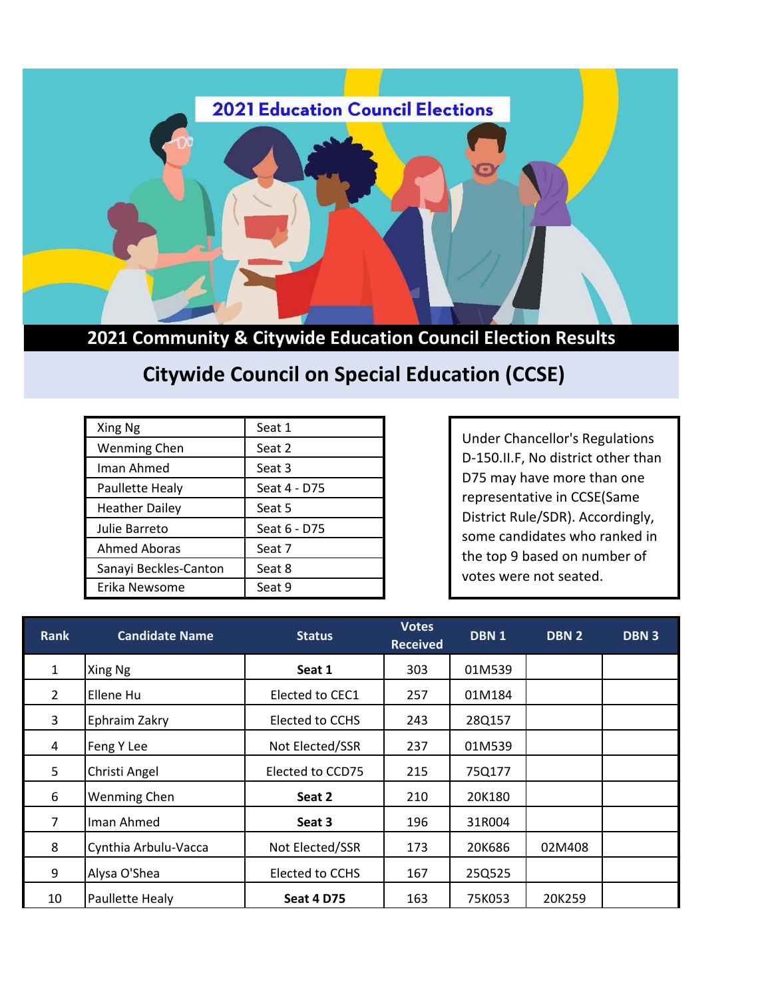

**2021 Community & Citywide Education Council Election Results**

## **Citywide Council on Special Education (CCSE)**

| Xing Ng               | Seat 1       |
|-----------------------|--------------|
| <b>Wenming Chen</b>   | Seat 2       |
| Iman Ahmed            | Seat 3       |
| Paullette Healy       | Seat 4 - D75 |
| <b>Heather Dailey</b> | Seat 5       |
| Julie Barreto         | Seat 6 - D75 |
| <b>Ahmed Aboras</b>   | Seat 7       |
| Sanayi Beckles-Canton | Seat 8       |
| Erika Newsome         | Seat 9       |

Under Chancellor's Regulations D-150.II.F, No district other than D75 may have more than one representative in CCSE(Same District Rule/SDR). Accordingly, some candidates who ranked in the top 9 based on number of votes were not seated.

| <b>Rank</b>    | <b>Candidate Name</b> | <b>Status</b>     | <b>Votes</b><br><b>Received</b> | DBN 1  | DBN <sub>2</sub> | <b>DBN3</b> |
|----------------|-----------------------|-------------------|---------------------------------|--------|------------------|-------------|
| $\mathbf{1}$   | Xing Ng               | Seat 1            | 303                             | 01M539 |                  |             |
| $\overline{2}$ | Ellene Hu             | Elected to CEC1   | 257                             | 01M184 |                  |             |
| 3              | Ephraim Zakry         | Elected to CCHS   | 243                             | 28Q157 |                  |             |
| 4              | Feng Y Lee            | Not Elected/SSR   | 237                             | 01M539 |                  |             |
| 5              | Christi Angel         | Elected to CCD75  | 215                             | 75Q177 |                  |             |
| 6              | <b>Wenming Chen</b>   | Seat 2            | 210                             | 20K180 |                  |             |
| 7              | Iman Ahmed            | Seat 3            | 196                             | 31R004 |                  |             |
| 8              | Cynthia Arbulu-Vacca  | Not Elected/SSR   | 173                             | 20K686 | 02M408           |             |
| 9              | Alysa O'Shea          | Elected to CCHS   | 167                             | 25Q525 |                  |             |
| 10             | Paullette Healy       | <b>Seat 4 D75</b> | 163                             | 75K053 | 20K259           |             |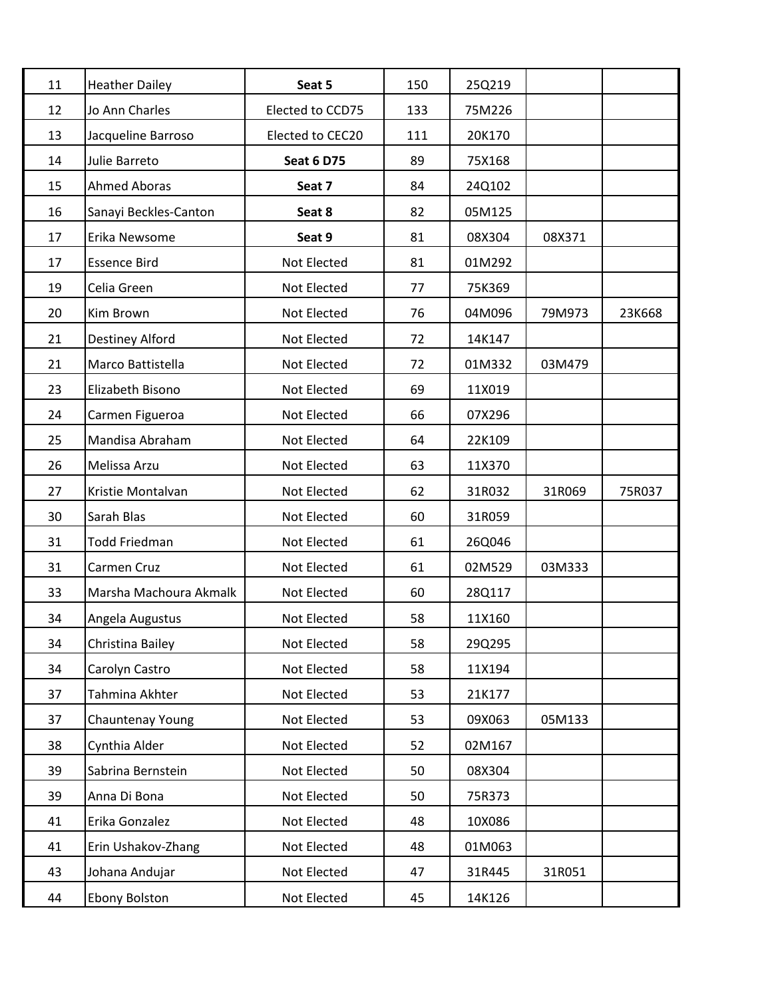| 11 | <b>Heather Dailey</b>  | Seat 5            | 150 | 25Q219 |        |        |
|----|------------------------|-------------------|-----|--------|--------|--------|
| 12 | Jo Ann Charles         | Elected to CCD75  | 133 | 75M226 |        |        |
| 13 | Jacqueline Barroso     | Elected to CEC20  | 111 | 20K170 |        |        |
| 14 | Julie Barreto          | <b>Seat 6 D75</b> | 89  | 75X168 |        |        |
| 15 | <b>Ahmed Aboras</b>    | Seat 7            | 84  | 24Q102 |        |        |
| 16 | Sanayi Beckles-Canton  | Seat 8            | 82  | 05M125 |        |        |
| 17 | Erika Newsome          | Seat 9            | 81  | 08X304 | 08X371 |        |
| 17 | <b>Essence Bird</b>    | Not Elected       | 81  | 01M292 |        |        |
| 19 | Celia Green            | Not Elected       | 77  | 75K369 |        |        |
| 20 | Kim Brown              | Not Elected       | 76  | 04M096 | 79M973 | 23K668 |
| 21 | Destiney Alford        | Not Elected       | 72  | 14K147 |        |        |
| 21 | Marco Battistella      | Not Elected       | 72  | 01M332 | 03M479 |        |
| 23 | Elizabeth Bisono       | Not Elected       | 69  | 11X019 |        |        |
| 24 | Carmen Figueroa        | Not Elected       | 66  | 07X296 |        |        |
| 25 | Mandisa Abraham        | Not Elected       | 64  | 22K109 |        |        |
| 26 | Melissa Arzu           | Not Elected       | 63  | 11X370 |        |        |
| 27 | Kristie Montalvan      | Not Elected       | 62  | 31R032 | 31R069 | 75R037 |
| 30 | Sarah Blas             | Not Elected       | 60  | 31R059 |        |        |
| 31 | <b>Todd Friedman</b>   | Not Elected       | 61  | 26Q046 |        |        |
| 31 | Carmen Cruz            | Not Elected       | 61  | 02M529 | 03M333 |        |
| 33 | Marsha Machoura Akmalk | Not Elected       | 60  | 28Q117 |        |        |
| 34 | Angela Augustus        | Not Elected       | 58  | 11X160 |        |        |
| 34 | Christina Bailey       | Not Elected       | 58  | 29Q295 |        |        |
| 34 | Carolyn Castro         | Not Elected       | 58  | 11X194 |        |        |
| 37 | Tahmina Akhter         | Not Elected       | 53  | 21K177 |        |        |
| 37 | Chauntenay Young       | Not Elected       | 53  | 09X063 | 05M133 |        |
| 38 | Cynthia Alder          | Not Elected       | 52  | 02M167 |        |        |
| 39 | Sabrina Bernstein      | Not Elected       | 50  | 08X304 |        |        |
| 39 | Anna Di Bona           | Not Elected       | 50  | 75R373 |        |        |
| 41 | Erika Gonzalez         | Not Elected       | 48  | 10X086 |        |        |
| 41 | Erin Ushakov-Zhang     | Not Elected       | 48  | 01M063 |        |        |
| 43 | Johana Andujar         | Not Elected       | 47  | 31R445 | 31R051 |        |
| 44 | Ebony Bolston          | Not Elected       | 45  | 14K126 |        |        |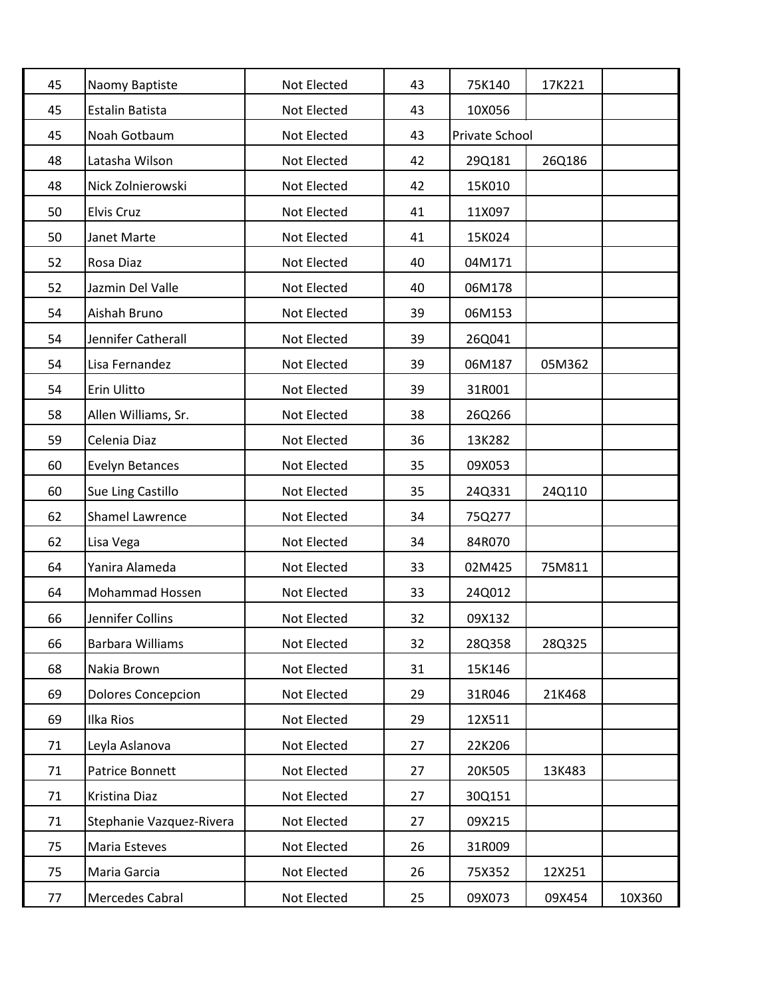| 45 | Naomy Baptiste            | Not Elected | 43 | 75K140         | 17K221 |        |
|----|---------------------------|-------------|----|----------------|--------|--------|
| 45 | Estalin Batista           | Not Elected | 43 | 10X056         |        |        |
| 45 | Noah Gotbaum              | Not Elected | 43 | Private School |        |        |
| 48 | Latasha Wilson            | Not Elected | 42 | 29Q181         | 26Q186 |        |
| 48 | Nick Zolnierowski         | Not Elected | 42 | 15K010         |        |        |
| 50 | Elvis Cruz                | Not Elected | 41 | 11X097         |        |        |
| 50 | Janet Marte               | Not Elected | 41 | 15K024         |        |        |
| 52 | Rosa Diaz                 | Not Elected | 40 | 04M171         |        |        |
| 52 | Jazmin Del Valle          | Not Elected | 40 | 06M178         |        |        |
| 54 | Aishah Bruno              | Not Elected | 39 | 06M153         |        |        |
| 54 | Jennifer Catherall        | Not Elected | 39 | 26Q041         |        |        |
| 54 | Lisa Fernandez            | Not Elected | 39 | 06M187         | 05M362 |        |
| 54 | Erin Ulitto               | Not Elected | 39 | 31R001         |        |        |
| 58 | Allen Williams, Sr.       | Not Elected | 38 | 26Q266         |        |        |
| 59 | Celenia Diaz              | Not Elected | 36 | 13K282         |        |        |
| 60 | <b>Evelyn Betances</b>    | Not Elected | 35 | 09X053         |        |        |
| 60 | Sue Ling Castillo         | Not Elected | 35 | 24Q331         | 24Q110 |        |
| 62 | <b>Shamel Lawrence</b>    | Not Elected | 34 | 75Q277         |        |        |
| 62 | Lisa Vega                 | Not Elected | 34 | 84R070         |        |        |
| 64 | Yanira Alameda            | Not Elected | 33 | 02M425         | 75M811 |        |
| 64 | Mohammad Hossen           | Not Elected | 33 | 24Q012         |        |        |
| 66 | Jennifer Collins          | Not Elected | 32 | 09X132         |        |        |
| 66 | Barbara Williams          | Not Elected | 32 | 28Q358         | 28Q325 |        |
| 68 | Nakia Brown               | Not Elected | 31 | 15K146         |        |        |
| 69 | <b>Dolores Concepcion</b> | Not Elected | 29 | 31R046         | 21K468 |        |
| 69 | Ilka Rios                 | Not Elected | 29 | 12X511         |        |        |
| 71 | Leyla Aslanova            | Not Elected | 27 | 22K206         |        |        |
| 71 | Patrice Bonnett           | Not Elected | 27 | 20K505         | 13K483 |        |
| 71 | Kristina Diaz             | Not Elected | 27 | 30Q151         |        |        |
| 71 | Stephanie Vazquez-Rivera  | Not Elected | 27 | 09X215         |        |        |
| 75 | Maria Esteves             | Not Elected | 26 | 31R009         |        |        |
| 75 | Maria Garcia              | Not Elected | 26 | 75X352         | 12X251 |        |
| 77 | Mercedes Cabral           | Not Elected | 25 | 09X073         | 09X454 | 10X360 |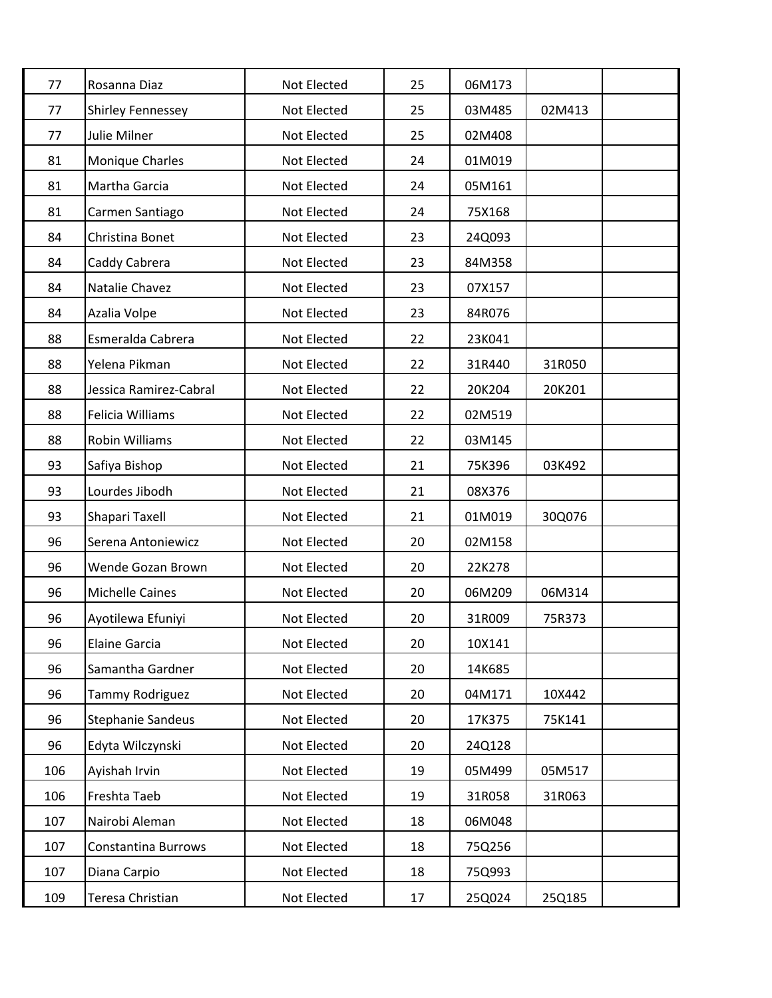| 77  | Rosanna Diaz               | Not Elected | 25 | 06M173 |        |  |
|-----|----------------------------|-------------|----|--------|--------|--|
| 77  | <b>Shirley Fennessey</b>   | Not Elected | 25 | 03M485 | 02M413 |  |
| 77  | Julie Milner               | Not Elected | 25 | 02M408 |        |  |
| 81  | Monique Charles            | Not Elected | 24 | 01M019 |        |  |
| 81  | Martha Garcia              | Not Elected | 24 | 05M161 |        |  |
| 81  | Carmen Santiago            | Not Elected | 24 | 75X168 |        |  |
| 84  | Christina Bonet            | Not Elected | 23 | 24Q093 |        |  |
| 84  | Caddy Cabrera              | Not Elected | 23 | 84M358 |        |  |
| 84  | Natalie Chavez             | Not Elected | 23 | 07X157 |        |  |
| 84  | Azalia Volpe               | Not Elected | 23 | 84R076 |        |  |
| 88  | Esmeralda Cabrera          | Not Elected | 22 | 23K041 |        |  |
| 88  | Yelena Pikman              | Not Elected | 22 | 31R440 | 31R050 |  |
| 88  | Jessica Ramirez-Cabral     | Not Elected | 22 | 20K204 | 20K201 |  |
| 88  | Felicia Williams           | Not Elected | 22 | 02M519 |        |  |
| 88  | <b>Robin Williams</b>      | Not Elected | 22 | 03M145 |        |  |
| 93  | Safiya Bishop              | Not Elected | 21 | 75K396 | 03K492 |  |
| 93  | Lourdes Jibodh             | Not Elected | 21 | 08X376 |        |  |
| 93  | Shapari Taxell             | Not Elected | 21 | 01M019 | 30Q076 |  |
| 96  | Serena Antoniewicz         | Not Elected | 20 | 02M158 |        |  |
| 96  | Wende Gozan Brown          | Not Elected | 20 | 22K278 |        |  |
| 96  | <b>Michelle Caines</b>     | Not Elected | 20 | 06M209 | 06M314 |  |
| 96  | Ayotilewa Efuniyi          | Not Elected | 20 | 31R009 | 75R373 |  |
| 96  | <b>Elaine Garcia</b>       | Not Elected | 20 | 10X141 |        |  |
| 96  | Samantha Gardner           | Not Elected | 20 | 14K685 |        |  |
| 96  | Tammy Rodriguez            | Not Elected | 20 | 04M171 | 10X442 |  |
| 96  | <b>Stephanie Sandeus</b>   | Not Elected | 20 | 17K375 | 75K141 |  |
| 96  | Edyta Wilczynski           | Not Elected | 20 | 24Q128 |        |  |
| 106 | Ayishah Irvin              | Not Elected | 19 | 05M499 | 05M517 |  |
| 106 | Freshta Taeb               | Not Elected | 19 | 31R058 | 31R063 |  |
| 107 | Nairobi Aleman             | Not Elected | 18 | 06M048 |        |  |
| 107 | <b>Constantina Burrows</b> | Not Elected | 18 | 75Q256 |        |  |
| 107 | Diana Carpio               | Not Elected | 18 | 75Q993 |        |  |
| 109 | Teresa Christian           | Not Elected | 17 | 25Q024 | 25Q185 |  |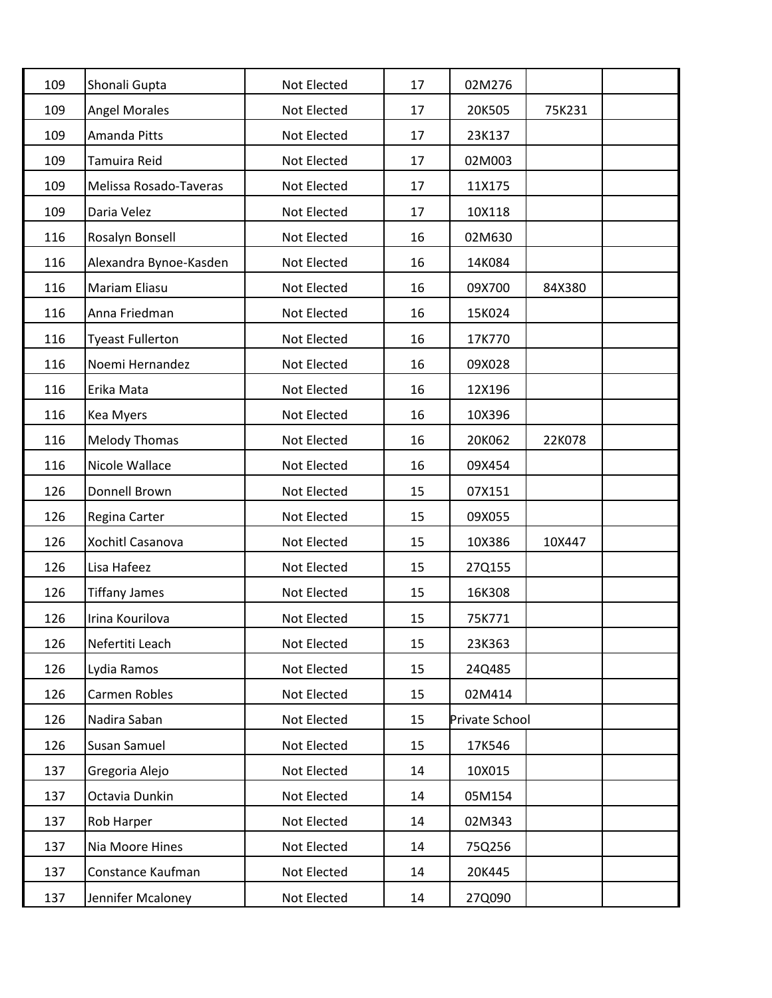| 109 | Shonali Gupta           | Not Elected        | 17 | 02M276         |        |  |
|-----|-------------------------|--------------------|----|----------------|--------|--|
| 109 | <b>Angel Morales</b>    | Not Elected        | 17 | 20K505         | 75K231 |  |
| 109 | Amanda Pitts            | Not Elected        | 17 | 23K137         |        |  |
| 109 | Tamuira Reid            | Not Elected        | 17 | 02M003         |        |  |
| 109 | Melissa Rosado-Taveras  | Not Elected        | 17 | 11X175         |        |  |
| 109 | Daria Velez             | Not Elected        | 17 | 10X118         |        |  |
| 116 | Rosalyn Bonsell         | <b>Not Elected</b> | 16 | 02M630         |        |  |
| 116 | Alexandra Bynoe-Kasden  | Not Elected        | 16 | 14K084         |        |  |
| 116 | Mariam Eliasu           | Not Elected        | 16 | 09X700         | 84X380 |  |
| 116 | Anna Friedman           | Not Elected        | 16 | 15K024         |        |  |
| 116 | <b>Tyeast Fullerton</b> | Not Elected        | 16 | 17K770         |        |  |
| 116 | Noemi Hernandez         | Not Elected        | 16 | 09X028         |        |  |
| 116 | Erika Mata              | Not Elected        | 16 | 12X196         |        |  |
| 116 | Kea Myers               | Not Elected        | 16 | 10X396         |        |  |
| 116 | <b>Melody Thomas</b>    | Not Elected        | 16 | 20K062         | 22K078 |  |
| 116 | Nicole Wallace          | Not Elected        | 16 | 09X454         |        |  |
| 126 | Donnell Brown           | Not Elected        | 15 | 07X151         |        |  |
| 126 | Regina Carter           | Not Elected        | 15 | 09X055         |        |  |
| 126 | Xochitl Casanova        | Not Elected        | 15 | 10X386         | 10X447 |  |
| 126 | Lisa Hafeez             | Not Elected        | 15 | 27Q155         |        |  |
| 126 | <b>Tiffany James</b>    | Not Elected        | 15 | 16K308         |        |  |
| 126 | Irina Kourilova         | Not Elected        | 15 | 75K771         |        |  |
| 126 | Nefertiti Leach         | Not Elected        | 15 | 23K363         |        |  |
| 126 | Lydia Ramos             | Not Elected        | 15 | 24Q485         |        |  |
| 126 | Carmen Robles           | Not Elected        | 15 | 02M414         |        |  |
| 126 | Nadira Saban            | Not Elected        | 15 | Private School |        |  |
| 126 | Susan Samuel            | Not Elected        | 15 | 17K546         |        |  |
| 137 | Gregoria Alejo          | Not Elected        | 14 | 10X015         |        |  |
| 137 | Octavia Dunkin          | Not Elected        | 14 | 05M154         |        |  |
| 137 | Rob Harper              | Not Elected        | 14 | 02M343         |        |  |
| 137 | Nia Moore Hines         | Not Elected        | 14 | 75Q256         |        |  |
| 137 | Constance Kaufman       | Not Elected        | 14 | 20K445         |        |  |
| 137 | Jennifer Mcaloney       | Not Elected        | 14 | 27Q090         |        |  |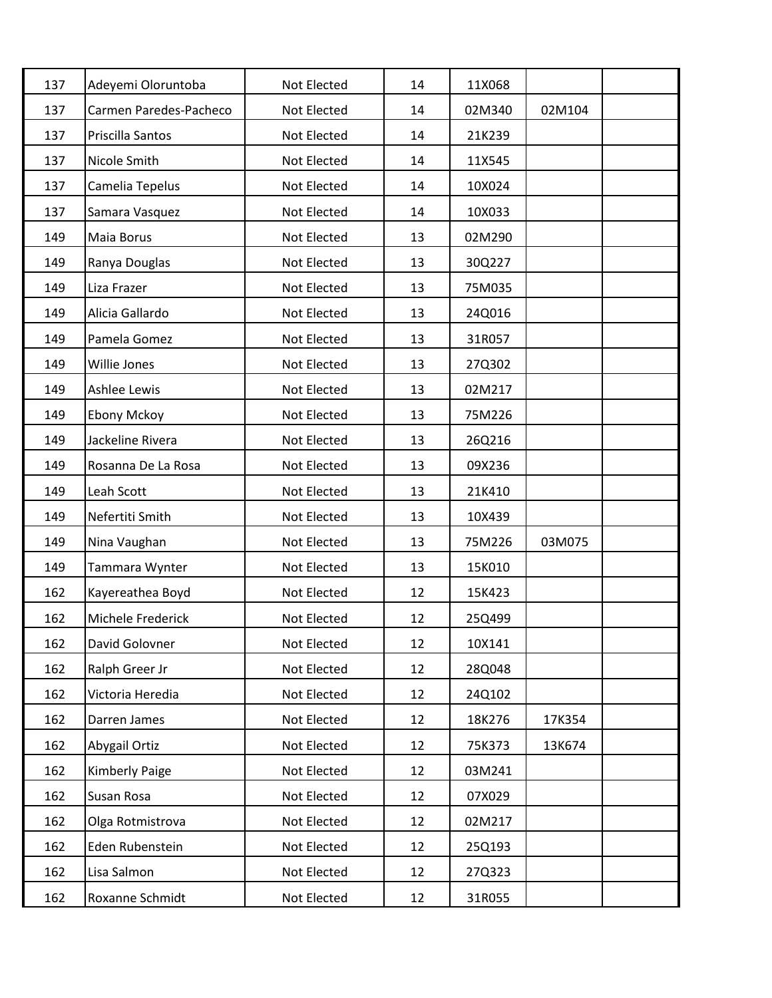| 137 | Adeyemi Oloruntoba     | Not Elected | 14              | 11X068 |        |  |
|-----|------------------------|-------------|-----------------|--------|--------|--|
| 137 | Carmen Paredes-Pacheco | Not Elected | 14              | 02M340 | 02M104 |  |
| 137 | Priscilla Santos       | Not Elected | 14              | 21K239 |        |  |
| 137 | Nicole Smith           | Not Elected | 14              | 11X545 |        |  |
| 137 | Camelia Tepelus        | Not Elected | 14              | 10X024 |        |  |
| 137 | Samara Vasquez         | Not Elected | 14              | 10X033 |        |  |
| 149 | Maia Borus             | Not Elected | 13              | 02M290 |        |  |
| 149 | Ranya Douglas          | Not Elected | 13              | 30Q227 |        |  |
| 149 | Liza Frazer            | Not Elected | 13              | 75M035 |        |  |
| 149 | Alicia Gallardo        | Not Elected | 13              | 24Q016 |        |  |
| 149 | Pamela Gomez           | Not Elected | 13              | 31R057 |        |  |
| 149 | Willie Jones           | Not Elected | 13              | 27Q302 |        |  |
| 149 | Ashlee Lewis           | Not Elected | 13              | 02M217 |        |  |
| 149 | <b>Ebony Mckoy</b>     | Not Elected | 13              | 75M226 |        |  |
| 149 | Jackeline Rivera       | Not Elected | 13              | 26Q216 |        |  |
| 149 | Rosanna De La Rosa     | Not Elected | 13              | 09X236 |        |  |
| 149 | Leah Scott             | Not Elected | 13              | 21K410 |        |  |
| 149 | Nefertiti Smith        | Not Elected | 13              | 10X439 |        |  |
| 149 | Nina Vaughan           | Not Elected | 13              | 75M226 | 03M075 |  |
| 149 | Tammara Wynter         | Not Elected | 13              | 15K010 |        |  |
| 162 | Kayereathea Boyd       | Not Elected | 12              | 15K423 |        |  |
| 162 | Michele Frederick      | Not Elected | 12              | 25Q499 |        |  |
| 162 | David Golovner         | Not Elected | 12              | 10X141 |        |  |
| 162 | Ralph Greer Jr         | Not Elected | 12              | 28Q048 |        |  |
| 162 | Victoria Heredia       | Not Elected | 12 <sup>2</sup> | 24Q102 |        |  |
| 162 | Darren James           | Not Elected | 12              | 18K276 | 17K354 |  |
| 162 | Abygail Ortiz          | Not Elected | 12              | 75K373 | 13K674 |  |
| 162 | Kimberly Paige         | Not Elected | 12              | 03M241 |        |  |
| 162 | Susan Rosa             | Not Elected | 12              | 07X029 |        |  |
| 162 | Olga Rotmistrova       | Not Elected | 12              | 02M217 |        |  |
| 162 | Eden Rubenstein        | Not Elected | 12              | 25Q193 |        |  |
| 162 | Lisa Salmon            | Not Elected | 12              | 27Q323 |        |  |
| 162 | Roxanne Schmidt        | Not Elected | 12              | 31R055 |        |  |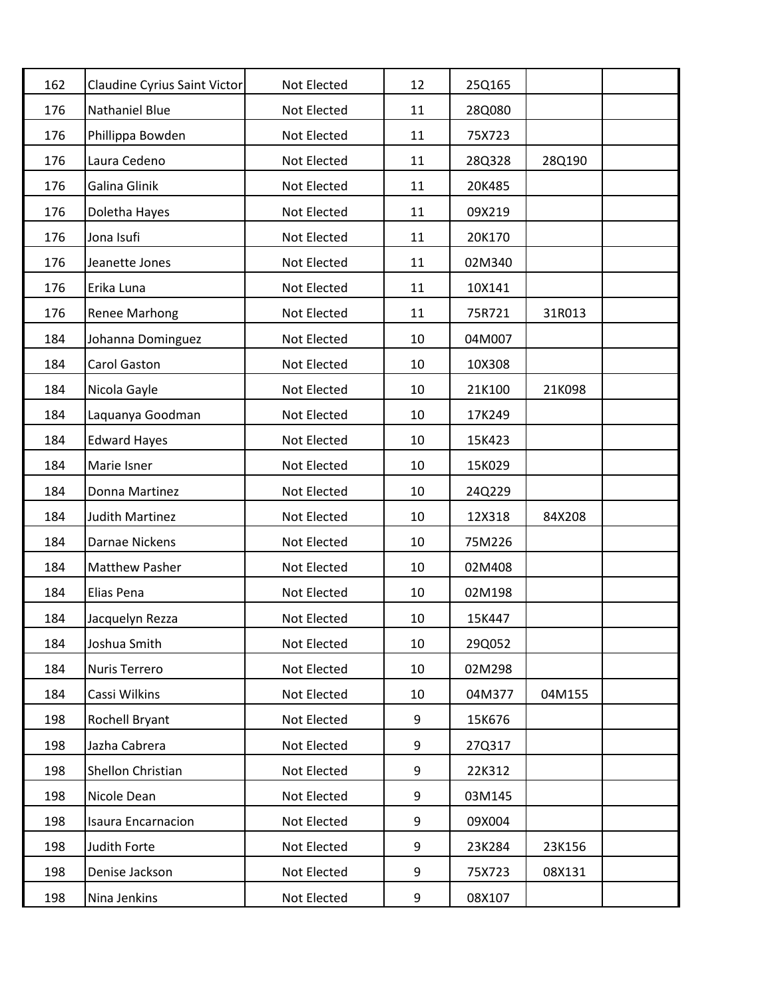| 162 | Claudine Cyrius Saint Victor | Not Elected | 12 | 25Q165 |        |  |
|-----|------------------------------|-------------|----|--------|--------|--|
| 176 | <b>Nathaniel Blue</b>        | Not Elected | 11 | 28Q080 |        |  |
| 176 | Phillippa Bowden             | Not Elected | 11 | 75X723 |        |  |
| 176 | Laura Cedeno                 | Not Elected | 11 | 28Q328 | 28Q190 |  |
| 176 | Galina Glinik                | Not Elected | 11 | 20K485 |        |  |
| 176 | Doletha Hayes                | Not Elected | 11 | 09X219 |        |  |
| 176 | Jona Isufi                   | Not Elected | 11 | 20K170 |        |  |
| 176 | Jeanette Jones               | Not Elected | 11 | 02M340 |        |  |
| 176 | Erika Luna                   | Not Elected | 11 | 10X141 |        |  |
| 176 | <b>Renee Marhong</b>         | Not Elected | 11 | 75R721 | 31R013 |  |
| 184 | Johanna Dominguez            | Not Elected | 10 | 04M007 |        |  |
| 184 | Carol Gaston                 | Not Elected | 10 | 10X308 |        |  |
| 184 | Nicola Gayle                 | Not Elected | 10 | 21K100 | 21K098 |  |
| 184 | Laquanya Goodman             | Not Elected | 10 | 17K249 |        |  |
| 184 | <b>Edward Hayes</b>          | Not Elected | 10 | 15K423 |        |  |
| 184 | Marie Isner                  | Not Elected | 10 | 15K029 |        |  |
| 184 | Donna Martinez               | Not Elected | 10 | 24Q229 |        |  |
| 184 | <b>Judith Martinez</b>       | Not Elected | 10 | 12X318 | 84X208 |  |
| 184 | Darnae Nickens               | Not Elected | 10 | 75M226 |        |  |
| 184 | <b>Matthew Pasher</b>        | Not Elected | 10 | 02M408 |        |  |
| 184 | Elias Pena                   | Not Elected | 10 | 02M198 |        |  |
| 184 | Jacquelyn Rezza              | Not Elected | 10 | 15K447 |        |  |
| 184 | Joshua Smith                 | Not Elected | 10 | 29Q052 |        |  |
| 184 | Nuris Terrero                | Not Elected | 10 | 02M298 |        |  |
| 184 | Cassi Wilkins                | Not Elected | 10 | 04M377 | 04M155 |  |
| 198 | Rochell Bryant               | Not Elected | 9  | 15K676 |        |  |
| 198 | Jazha Cabrera                | Not Elected | 9  | 27Q317 |        |  |
| 198 | Shellon Christian            | Not Elected | 9  | 22K312 |        |  |
| 198 | Nicole Dean                  | Not Elected | 9  | 03M145 |        |  |
| 198 | <b>Isaura Encarnacion</b>    | Not Elected | 9  | 09X004 |        |  |
| 198 | Judith Forte                 | Not Elected | 9  | 23K284 | 23K156 |  |
| 198 | Denise Jackson               | Not Elected | 9  | 75X723 | 08X131 |  |
| 198 | Nina Jenkins                 | Not Elected | 9  | 08X107 |        |  |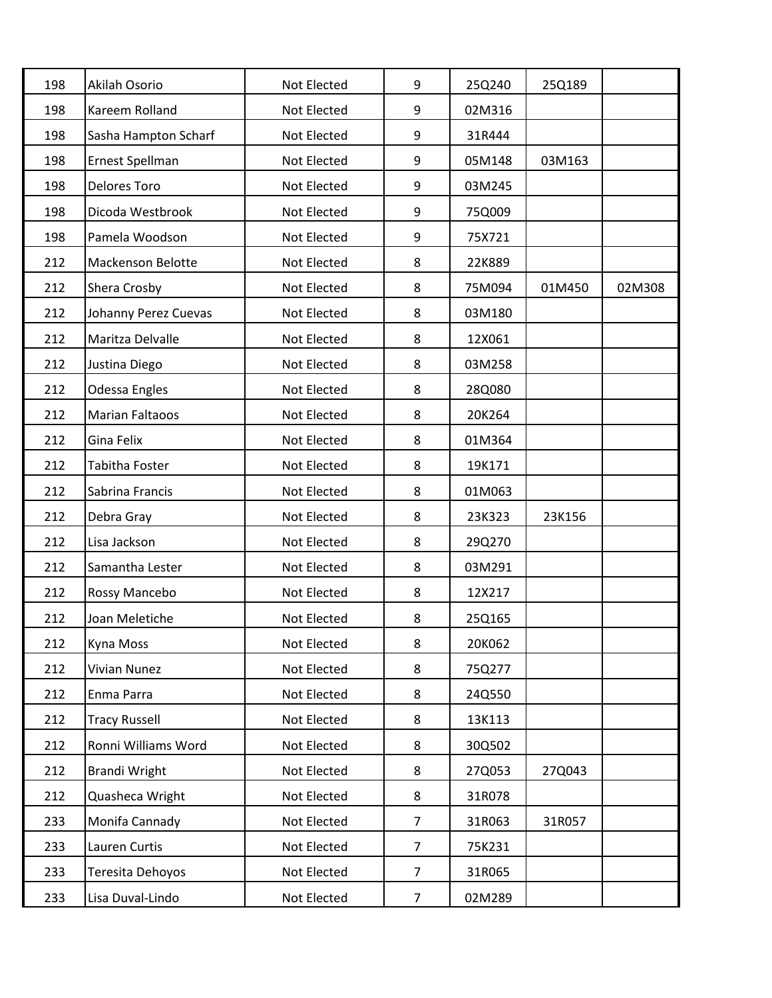| 198 | Akilah Osorio            | Not Elected | 9              | 25Q240 | 25Q189 |        |
|-----|--------------------------|-------------|----------------|--------|--------|--------|
| 198 | Kareem Rolland           | Not Elected | 9              | 02M316 |        |        |
| 198 | Sasha Hampton Scharf     | Not Elected | 9              | 31R444 |        |        |
| 198 | Ernest Spellman          | Not Elected | 9              | 05M148 | 03M163 |        |
| 198 | <b>Delores Toro</b>      | Not Elected | 9              | 03M245 |        |        |
| 198 | Dicoda Westbrook         | Not Elected | 9              | 75Q009 |        |        |
| 198 | Pamela Woodson           | Not Elected | 9              | 75X721 |        |        |
| 212 | <b>Mackenson Belotte</b> | Not Elected | 8              | 22K889 |        |        |
| 212 | Shera Crosby             | Not Elected | 8              | 75M094 | 01M450 | 02M308 |
| 212 | Johanny Perez Cuevas     | Not Elected | 8              | 03M180 |        |        |
| 212 | Maritza Delvalle         | Not Elected | 8              | 12X061 |        |        |
| 212 | Justina Diego            | Not Elected | 8              | 03M258 |        |        |
| 212 | Odessa Engles            | Not Elected | 8              | 28Q080 |        |        |
| 212 | <b>Marian Faltaoos</b>   | Not Elected | 8              | 20K264 |        |        |
| 212 | Gina Felix               | Not Elected | 8              | 01M364 |        |        |
| 212 | Tabitha Foster           | Not Elected | 8              | 19K171 |        |        |
| 212 | Sabrina Francis          | Not Elected | 8              | 01M063 |        |        |
| 212 | Debra Gray               | Not Elected | 8              | 23K323 | 23K156 |        |
| 212 | Lisa Jackson             | Not Elected | 8              | 29Q270 |        |        |
| 212 | Samantha Lester          | Not Elected | 8              | 03M291 |        |        |
| 212 | Rossy Mancebo            | Not Elected | 8              | 12X217 |        |        |
| 212 | Joan Meletiche           | Not Elected | 8              | 25Q165 |        |        |
| 212 | Kyna Moss                | Not Elected | 8              | 20K062 |        |        |
| 212 | <b>Vivian Nunez</b>      | Not Elected | 8              | 75Q277 |        |        |
| 212 | Enma Parra               | Not Elected | 8              | 24Q550 |        |        |
| 212 | <b>Tracy Russell</b>     | Not Elected | 8              | 13K113 |        |        |
| 212 | Ronni Williams Word      | Not Elected | 8              | 30Q502 |        |        |
| 212 | <b>Brandi Wright</b>     | Not Elected | 8              | 27Q053 | 27Q043 |        |
| 212 | Quasheca Wright          | Not Elected | 8              | 31R078 |        |        |
| 233 | Monifa Cannady           | Not Elected | $\overline{7}$ | 31R063 | 31R057 |        |
| 233 | Lauren Curtis            | Not Elected | $\overline{7}$ | 75K231 |        |        |
| 233 | Teresita Dehoyos         | Not Elected | $\overline{7}$ | 31R065 |        |        |
| 233 | Lisa Duval-Lindo         | Not Elected | $\overline{7}$ | 02M289 |        |        |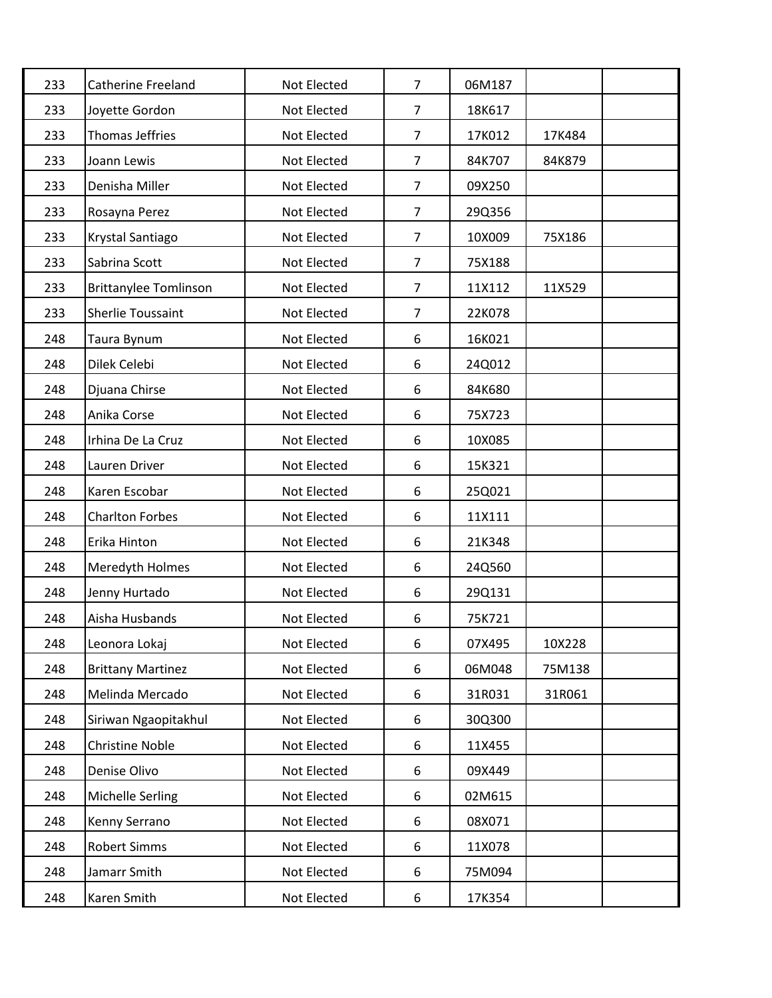| 233 | <b>Catherine Freeland</b>    | Not Elected | $\overline{7}$ | 06M187 |        |  |
|-----|------------------------------|-------------|----------------|--------|--------|--|
| 233 | Joyette Gordon               | Not Elected | $\overline{7}$ | 18K617 |        |  |
| 233 | <b>Thomas Jeffries</b>       | Not Elected | $\overline{7}$ | 17K012 | 17K484 |  |
| 233 | Joann Lewis                  | Not Elected | $\overline{7}$ | 84K707 | 84K879 |  |
| 233 | Denisha Miller               | Not Elected | $\overline{7}$ | 09X250 |        |  |
| 233 | Rosayna Perez                | Not Elected | $\overline{7}$ | 29Q356 |        |  |
| 233 | Krystal Santiago             | Not Elected | $\overline{7}$ | 10X009 | 75X186 |  |
| 233 | Sabrina Scott                | Not Elected | $\overline{7}$ | 75X188 |        |  |
| 233 | <b>Brittanylee Tomlinson</b> | Not Elected | 7              | 11X112 | 11X529 |  |
| 233 | <b>Sherlie Toussaint</b>     | Not Elected | $\overline{7}$ | 22K078 |        |  |
| 248 | Taura Bynum                  | Not Elected | 6              | 16K021 |        |  |
| 248 | Dilek Celebi                 | Not Elected | 6              | 24Q012 |        |  |
| 248 | Djuana Chirse                | Not Elected | 6              | 84K680 |        |  |
| 248 | Anika Corse                  | Not Elected | 6              | 75X723 |        |  |
| 248 | Irhina De La Cruz            | Not Elected | 6              | 10X085 |        |  |
| 248 | Lauren Driver                | Not Elected | 6              | 15K321 |        |  |
| 248 | Karen Escobar                | Not Elected | 6              | 25Q021 |        |  |
| 248 | <b>Charlton Forbes</b>       | Not Elected | 6              | 11X111 |        |  |
| 248 | Erika Hinton                 | Not Elected | 6              | 21K348 |        |  |
| 248 | Meredyth Holmes              | Not Elected | 6              | 24Q560 |        |  |
| 248 | Jenny Hurtado                | Not Elected | 6              | 29Q131 |        |  |
| 248 | Aisha Husbands               | Not Elected | 6              | 75K721 |        |  |
| 248 | Leonora Lokaj                | Not Elected | 6              | 07X495 | 10X228 |  |
| 248 | <b>Brittany Martinez</b>     | Not Elected | 6              | 06M048 | 75M138 |  |
| 248 | Melinda Mercado              | Not Elected | 6              | 31R031 | 31R061 |  |
| 248 | Siriwan Ngaopitakhul         | Not Elected | 6              | 30Q300 |        |  |
| 248 | <b>Christine Noble</b>       | Not Elected | 6              | 11X455 |        |  |
| 248 | Denise Olivo                 | Not Elected | 6              | 09X449 |        |  |
| 248 | Michelle Serling             | Not Elected | 6              | 02M615 |        |  |
| 248 | Kenny Serrano                | Not Elected | 6              | 08X071 |        |  |
| 248 | <b>Robert Simms</b>          | Not Elected | 6              | 11X078 |        |  |
| 248 | Jamarr Smith                 | Not Elected | 6              | 75M094 |        |  |
| 248 | Karen Smith                  | Not Elected | 6              | 17K354 |        |  |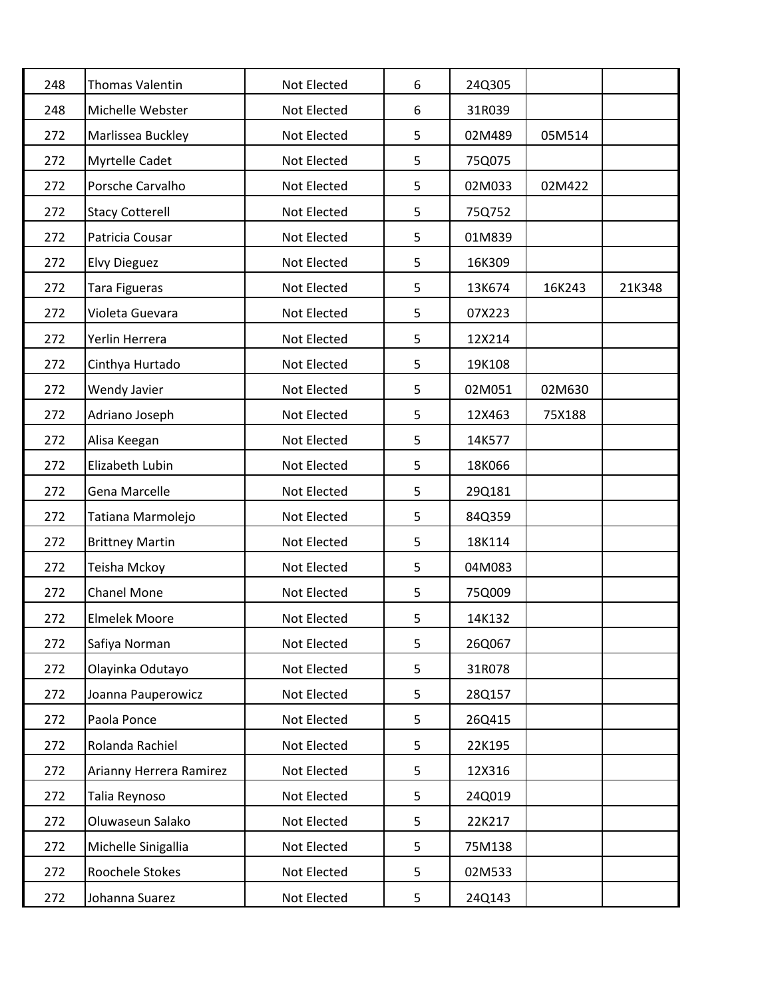| 248 | <b>Thomas Valentin</b>  | Not Elected | 6 | 24Q305 |        |        |
|-----|-------------------------|-------------|---|--------|--------|--------|
| 248 | Michelle Webster        | Not Elected | 6 | 31R039 |        |        |
| 272 | Marlissea Buckley       | Not Elected | 5 | 02M489 | 05M514 |        |
| 272 | Myrtelle Cadet          | Not Elected | 5 | 75Q075 |        |        |
| 272 | Porsche Carvalho        | Not Elected | 5 | 02M033 | 02M422 |        |
| 272 | <b>Stacy Cotterell</b>  | Not Elected | 5 | 75Q752 |        |        |
| 272 | Patricia Cousar         | Not Elected | 5 | 01M839 |        |        |
| 272 | <b>Elvy Dieguez</b>     | Not Elected | 5 | 16K309 |        |        |
| 272 | Tara Figueras           | Not Elected | 5 | 13K674 | 16K243 | 21K348 |
| 272 | Violeta Guevara         | Not Elected | 5 | 07X223 |        |        |
| 272 | Yerlin Herrera          | Not Elected | 5 | 12X214 |        |        |
| 272 | Cinthya Hurtado         | Not Elected | 5 | 19K108 |        |        |
| 272 | Wendy Javier            | Not Elected | 5 | 02M051 | 02M630 |        |
| 272 | Adriano Joseph          | Not Elected | 5 | 12X463 | 75X188 |        |
| 272 | Alisa Keegan            | Not Elected | 5 | 14K577 |        |        |
| 272 | Elizabeth Lubin         | Not Elected | 5 | 18K066 |        |        |
| 272 | Gena Marcelle           | Not Elected | 5 | 29Q181 |        |        |
| 272 | Tatiana Marmolejo       | Not Elected | 5 | 84Q359 |        |        |
| 272 | <b>Brittney Martin</b>  | Not Elected | 5 | 18K114 |        |        |
| 272 | Teisha Mckoy            | Not Elected | 5 | 04M083 |        |        |
| 272 | <b>Chanel Mone</b>      | Not Elected | 5 | 75Q009 |        |        |
| 272 | <b>Elmelek Moore</b>    | Not Elected | 5 | 14K132 |        |        |
| 272 | Safiya Norman           | Not Elected | 5 | 26Q067 |        |        |
| 272 | Olayinka Odutayo        | Not Elected | 5 | 31R078 |        |        |
| 272 | Joanna Pauperowicz      | Not Elected | 5 | 28Q157 |        |        |
| 272 | Paola Ponce             | Not Elected | 5 | 26Q415 |        |        |
| 272 | Rolanda Rachiel         | Not Elected | 5 | 22K195 |        |        |
| 272 | Arianny Herrera Ramirez | Not Elected | 5 | 12X316 |        |        |
| 272 | Talia Reynoso           | Not Elected | 5 | 24Q019 |        |        |
| 272 | Oluwaseun Salako        | Not Elected | 5 | 22K217 |        |        |
| 272 | Michelle Sinigallia     | Not Elected | 5 | 75M138 |        |        |
| 272 | Roochele Stokes         | Not Elected | 5 | 02M533 |        |        |
| 272 | Johanna Suarez          | Not Elected | 5 | 24Q143 |        |        |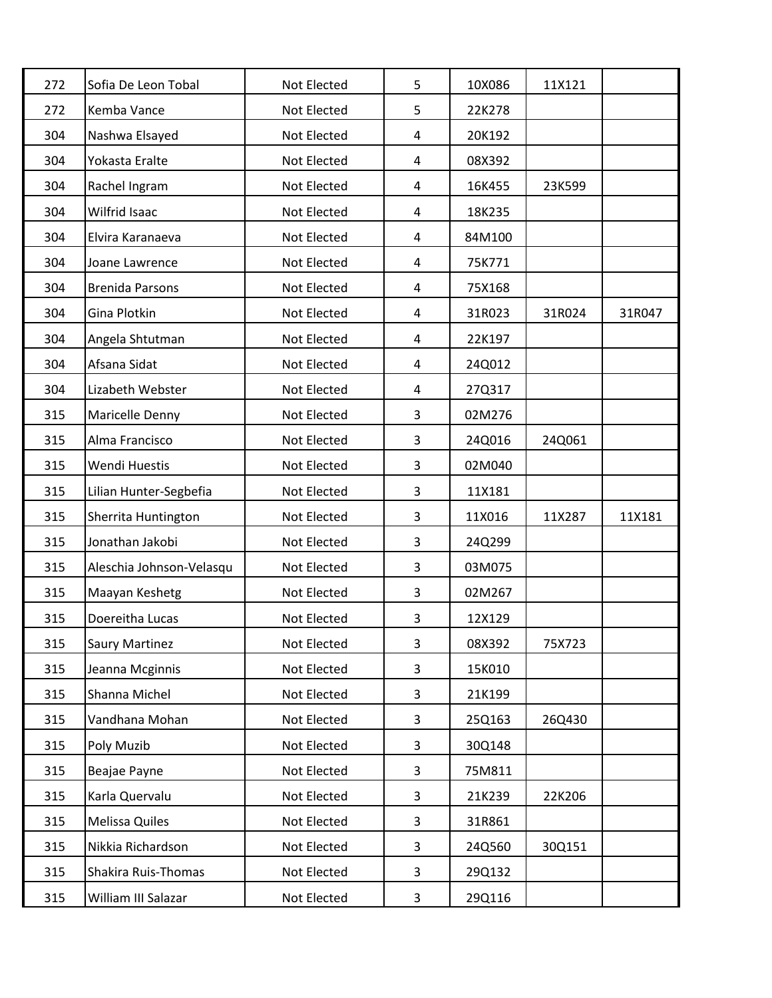| 272 | Sofia De Leon Tobal      | Not Elected | 5              | 10X086 | 11X121 |        |
|-----|--------------------------|-------------|----------------|--------|--------|--------|
| 272 | Kemba Vance              | Not Elected | 5              | 22K278 |        |        |
| 304 | Nashwa Elsayed           | Not Elected | $\overline{4}$ | 20K192 |        |        |
| 304 | Yokasta Eralte           | Not Elected | 4              | 08X392 |        |        |
| 304 | Rachel Ingram            | Not Elected | 4              | 16K455 | 23K599 |        |
| 304 | Wilfrid Isaac            | Not Elected | 4              | 18K235 |        |        |
| 304 | Elvira Karanaeva         | Not Elected | 4              | 84M100 |        |        |
| 304 | Joane Lawrence           | Not Elected | 4              | 75K771 |        |        |
| 304 | <b>Brenida Parsons</b>   | Not Elected | 4              | 75X168 |        |        |
| 304 | Gina Plotkin             | Not Elected | 4              | 31R023 | 31R024 | 31R047 |
| 304 | Angela Shtutman          | Not Elected | $\overline{4}$ | 22K197 |        |        |
| 304 | Afsana Sidat             | Not Elected | 4              | 24Q012 |        |        |
| 304 | Lizabeth Webster         | Not Elected | 4              | 27Q317 |        |        |
| 315 | Maricelle Denny          | Not Elected | 3              | 02M276 |        |        |
| 315 | Alma Francisco           | Not Elected | 3              | 24Q016 | 24Q061 |        |
| 315 | Wendi Huestis            | Not Elected | 3              | 02M040 |        |        |
| 315 | Lilian Hunter-Segbefia   | Not Elected | 3              | 11X181 |        |        |
| 315 | Sherrita Huntington      | Not Elected | 3              | 11X016 | 11X287 | 11X181 |
| 315 | Jonathan Jakobi          | Not Elected | 3              | 24Q299 |        |        |
| 315 | Aleschia Johnson-Velasqu | Not Elected | 3              | 03M075 |        |        |
| 315 | Maayan Keshetg           | Not Elected | 3              | 02M267 |        |        |
| 315 | Doereitha Lucas          | Not Elected | 3              | 12X129 |        |        |
| 315 | <b>Saury Martinez</b>    | Not Elected | 3              | 08X392 | 75X723 |        |
| 315 | Jeanna Mcginnis          | Not Elected | 3              | 15K010 |        |        |
| 315 | Shanna Michel            | Not Elected | 3              | 21K199 |        |        |
| 315 | Vandhana Mohan           | Not Elected | 3              | 25Q163 | 26Q430 |        |
| 315 | Poly Muzib               | Not Elected | 3              | 30Q148 |        |        |
| 315 | Beajae Payne             | Not Elected | 3              | 75M811 |        |        |
| 315 | Karla Quervalu           | Not Elected | 3              | 21K239 | 22K206 |        |
| 315 | Melissa Quiles           | Not Elected | 3              | 31R861 |        |        |
| 315 | Nikkia Richardson        | Not Elected | 3              | 24Q560 | 30Q151 |        |
| 315 | Shakira Ruis-Thomas      | Not Elected | 3              | 29Q132 |        |        |
| 315 | William III Salazar      | Not Elected | 3              | 29Q116 |        |        |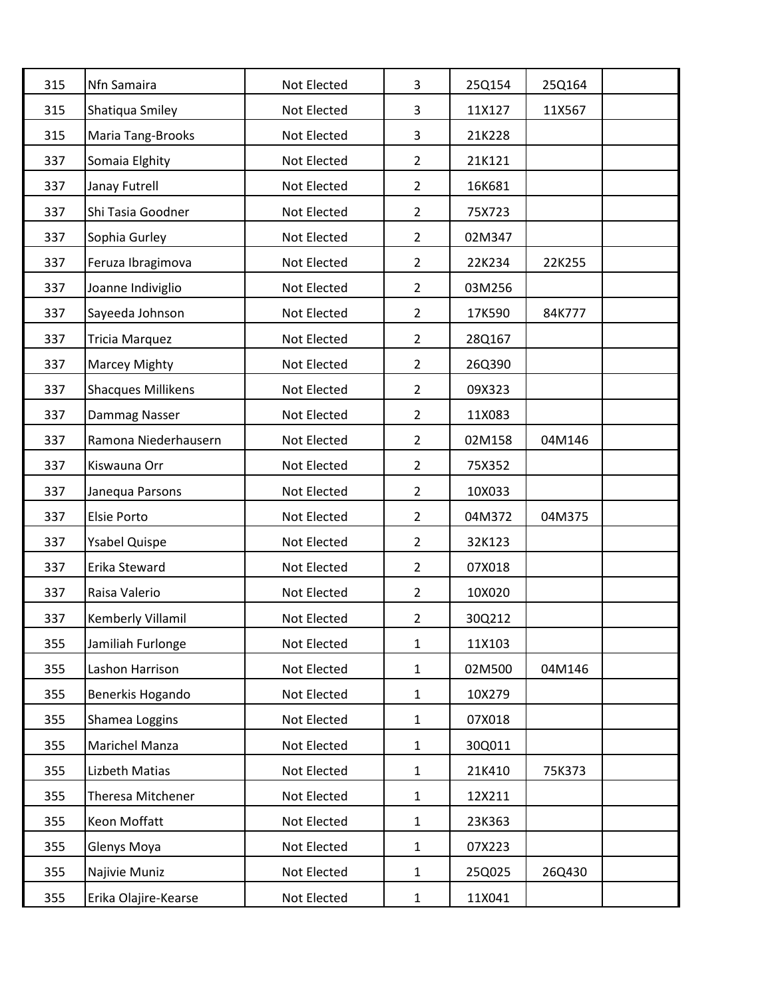| 315 | Nfn Samaira               | Not Elected | 3              | 25Q154 | 25Q164 |  |
|-----|---------------------------|-------------|----------------|--------|--------|--|
| 315 | Shatiqua Smiley           | Not Elected | 3              | 11X127 | 11X567 |  |
| 315 | Maria Tang-Brooks         | Not Elected | 3              | 21K228 |        |  |
| 337 | Somaia Elghity            | Not Elected | $\overline{2}$ | 21K121 |        |  |
| 337 | Janay Futrell             | Not Elected | $\overline{2}$ | 16K681 |        |  |
| 337 | Shi Tasia Goodner         | Not Elected | $\overline{2}$ | 75X723 |        |  |
| 337 | Sophia Gurley             | Not Elected | $\overline{2}$ | 02M347 |        |  |
| 337 | Feruza Ibragimova         | Not Elected | $\overline{2}$ | 22K234 | 22K255 |  |
| 337 | Joanne Indiviglio         | Not Elected | $\overline{2}$ | 03M256 |        |  |
| 337 | Sayeeda Johnson           | Not Elected | $\overline{2}$ | 17K590 | 84K777 |  |
| 337 | Tricia Marquez            | Not Elected | $\overline{2}$ | 28Q167 |        |  |
| 337 | Marcey Mighty             | Not Elected | $\overline{2}$ | 26Q390 |        |  |
| 337 | <b>Shacques Millikens</b> | Not Elected | $\overline{2}$ | 09X323 |        |  |
| 337 | Dammag Nasser             | Not Elected | $\overline{2}$ | 11X083 |        |  |
| 337 | Ramona Niederhausern      | Not Elected | $\overline{2}$ | 02M158 | 04M146 |  |
| 337 | Kiswauna Orr              | Not Elected | $\overline{2}$ | 75X352 |        |  |
| 337 | Janequa Parsons           | Not Elected | $\overline{2}$ | 10X033 |        |  |
| 337 | Elsie Porto               | Not Elected | $\overline{2}$ | 04M372 | 04M375 |  |
| 337 | <b>Ysabel Quispe</b>      | Not Elected | $\overline{2}$ | 32K123 |        |  |
| 337 | Erika Steward             | Not Elected | $\overline{2}$ | 07X018 |        |  |
| 337 | Raisa Valerio             | Not Elected | $\overline{2}$ | 10X020 |        |  |
| 337 | Kemberly Villamil         | Not Elected | $\overline{2}$ | 30Q212 |        |  |
| 355 | Jamiliah Furlonge         | Not Elected | $\mathbf 1$    | 11X103 |        |  |
| 355 | Lashon Harrison           | Not Elected | $\mathbf{1}$   | 02M500 | 04M146 |  |
| 355 | Benerkis Hogando          | Not Elected | $\mathbf{1}$   | 10X279 |        |  |
| 355 | Shamea Loggins            | Not Elected | $\mathbf{1}$   | 07X018 |        |  |
| 355 | Marichel Manza            | Not Elected | $\mathbf{1}$   | 30Q011 |        |  |
| 355 | Lizbeth Matias            | Not Elected | $\mathbf{1}$   | 21K410 | 75K373 |  |
| 355 | Theresa Mitchener         | Not Elected | $\mathbf{1}$   | 12X211 |        |  |
| 355 | Keon Moffatt              | Not Elected | $\mathbf 1$    | 23K363 |        |  |
| 355 | Glenys Moya               | Not Elected | $\mathbf{1}$   | 07X223 |        |  |
| 355 | Najivie Muniz             | Not Elected | $\mathbf{1}$   | 25Q025 | 26Q430 |  |
| 355 | Erika Olajire-Kearse      | Not Elected | $\mathbf{1}$   | 11X041 |        |  |